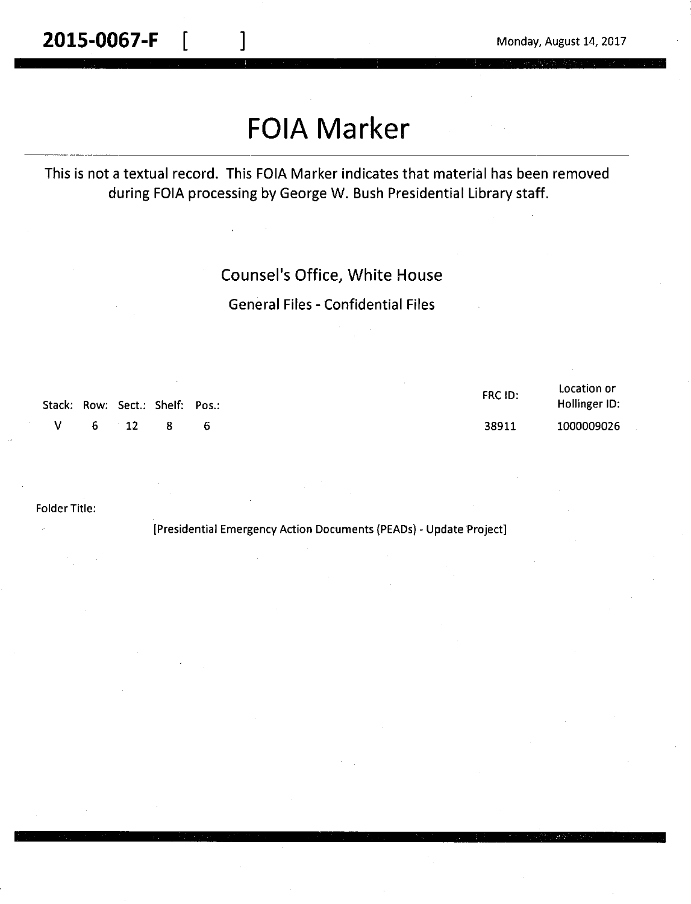# **FOIA Marker**

### This is not a textual record. This FOIA Marker indicates that material has been removed during FOIA processing by George W. Bush Presidential Library staff.

### Counsel's Office, White House

General Files - Confidential Files

|  |            | Stack: Row: Sect.: Shelf: Pos.: |     | FRC ID: | Location or<br>Hollinger ID: |
|--|------------|---------------------------------|-----|---------|------------------------------|
|  | $V$ 6 12 8 |                                 | - 6 | 38911   | 1000009026                   |

Folder Title:

[Presidential Emergency Action Documents (PEADs) - Update Project]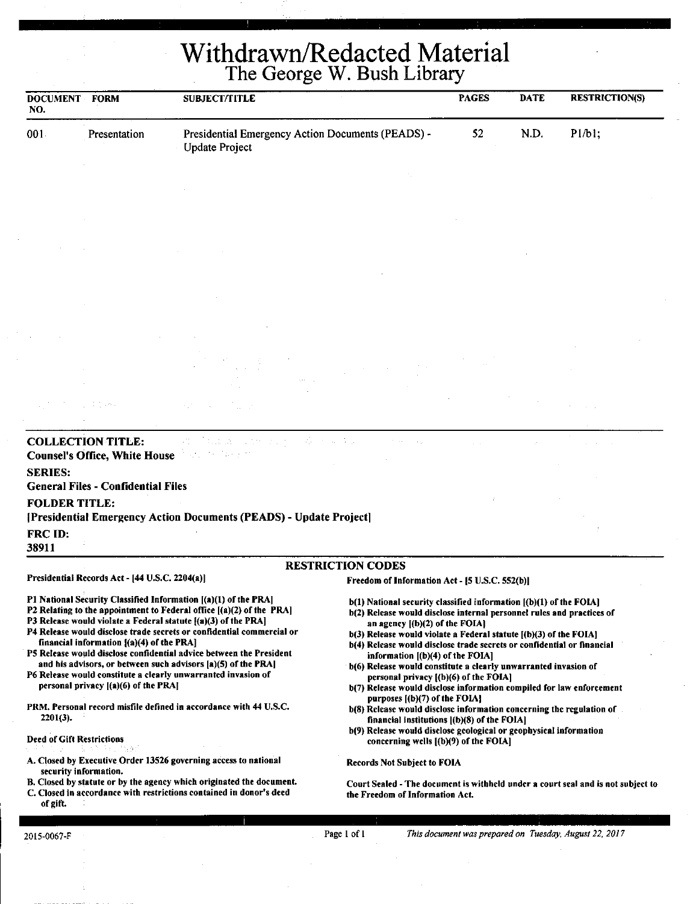# Withdrawn/Redacted Material The George W. Bush Library

| <b>DOCUMENT FORM</b><br>NO. |                                                                  | <b>SUBJECT/TITLE</b>                                                                                                                                                                                                                                                           |                                                                                                                                                                                                                                                    | <b>PAGES</b> | <b>DATE</b> | <b>RESTRICTION(S)</b> |
|-----------------------------|------------------------------------------------------------------|--------------------------------------------------------------------------------------------------------------------------------------------------------------------------------------------------------------------------------------------------------------------------------|----------------------------------------------------------------------------------------------------------------------------------------------------------------------------------------------------------------------------------------------------|--------------|-------------|-----------------------|
| 001                         | Presentation                                                     | Presidential Emergency Action Documents (PEADS) -<br><b>Update Project</b>                                                                                                                                                                                                     |                                                                                                                                                                                                                                                    | 52           | N.D.        | P1/b1;                |
|                             |                                                                  |                                                                                                                                                                                                                                                                                |                                                                                                                                                                                                                                                    |              |             |                       |
|                             |                                                                  |                                                                                                                                                                                                                                                                                |                                                                                                                                                                                                                                                    |              |             |                       |
|                             |                                                                  |                                                                                                                                                                                                                                                                                |                                                                                                                                                                                                                                                    |              |             |                       |
|                             |                                                                  |                                                                                                                                                                                                                                                                                |                                                                                                                                                                                                                                                    |              |             |                       |
|                             |                                                                  |                                                                                                                                                                                                                                                                                |                                                                                                                                                                                                                                                    |              |             |                       |
|                             |                                                                  |                                                                                                                                                                                                                                                                                |                                                                                                                                                                                                                                                    |              |             |                       |
|                             |                                                                  |                                                                                                                                                                                                                                                                                |                                                                                                                                                                                                                                                    |              |             |                       |
|                             |                                                                  |                                                                                                                                                                                                                                                                                |                                                                                                                                                                                                                                                    |              |             |                       |
|                             |                                                                  |                                                                                                                                                                                                                                                                                |                                                                                                                                                                                                                                                    |              |             |                       |
|                             |                                                                  |                                                                                                                                                                                                                                                                                |                                                                                                                                                                                                                                                    |              |             |                       |
|                             |                                                                  |                                                                                                                                                                                                                                                                                |                                                                                                                                                                                                                                                    |              |             |                       |
|                             |                                                                  |                                                                                                                                                                                                                                                                                |                                                                                                                                                                                                                                                    |              |             |                       |
|                             | <b>COLLECTION TITLE:</b><br><b>Counsel's Office, White House</b> |                                                                                                                                                                                                                                                                                |                                                                                                                                                                                                                                                    |              |             |                       |
| <b>SERIES:</b>              |                                                                  |                                                                                                                                                                                                                                                                                |                                                                                                                                                                                                                                                    |              |             |                       |
|                             | <b>General Files - Confidential Files</b>                        |                                                                                                                                                                                                                                                                                |                                                                                                                                                                                                                                                    |              |             |                       |
| <b>FOLDER TITLE:</b>        |                                                                  | [Presidential Emergency Action Documents (PEADS) - Update Project]                                                                                                                                                                                                             |                                                                                                                                                                                                                                                    |              |             |                       |
| FRC ID:<br>38911            |                                                                  |                                                                                                                                                                                                                                                                                |                                                                                                                                                                                                                                                    |              |             |                       |
|                             |                                                                  |                                                                                                                                                                                                                                                                                | <b>RESTRICTION CODES</b>                                                                                                                                                                                                                           |              |             |                       |
|                             | Presidential Records Act - [44 U.S.C. 2204(a)]                   |                                                                                                                                                                                                                                                                                | Freedom of Information Act - [5 U.S.C. 552(b)]                                                                                                                                                                                                     |              |             |                       |
|                             |                                                                  | P1 National Security Classified Information [(a)(1) of the PRA]<br>P2 Relating to the appointment to Federal office $[(a)(2)$ of the PRA]<br>P3 Release would violate a Federal statute $( \mathbf{a} )$ (3) of the PRA]                                                       | b(1) National security classified information [(b)(1) of the FOIA]<br>b(2) Release would disclose internal personnel rules and practices of<br>an agency $[(b)(2)$ of the FOIA]                                                                    |              |             |                       |
|                             | financial information $[(a)(4)$ of the PRA]                      | P4 Release would disclose trade secrets or confidential commercial or<br>P5 Release would disclose confidential advice between the President<br>and his advisors, or between such advisors [a](5) of the PRA]<br>P6 Release would constitute a clearly unwarranted invasion of | b(3) Release would violate a Federal statute [(b)(3) of the FOIA]<br>b(4) Release would disclose trade secrets or confidential or financial<br>information [(b)(4) of the FOIA]<br>b(6) Release would constitute a clearly unwarranted invasion of |              |             |                       |
|                             | personal privacy $[(a)(6)$ of the PRA]                           |                                                                                                                                                                                                                                                                                | personal privacy [(b)(6) of the FOIA]<br>b(7) Release would disclose information compiled for law enforcement                                                                                                                                      |              |             |                       |

PRM. Personal record misfile defined in accordance with 44 U.S.C. 2201(3).

#### Deed of Gift Restrictions

- A. Closed by Executive Order 13526 governing access to national security information.
- B. Closed by statute or by the agency which originated the document. C. Closed in accordance with restrictions contained in donor's deed

#### of gift.

- purposes ((b)(7) of the FOIAJ
- b(8) Release would disclose information concerning the regulation of financial institutions  $[(b)(8)$  of the FOIA]
- b(9) Release would disclose geological or geophysical information concerning wells ((b)(9) of the FOIAJ

Records Not Subject to FOIA

Court Sealed -The document is withheld under a court seal and is not subject to the Freedom of Information Act.